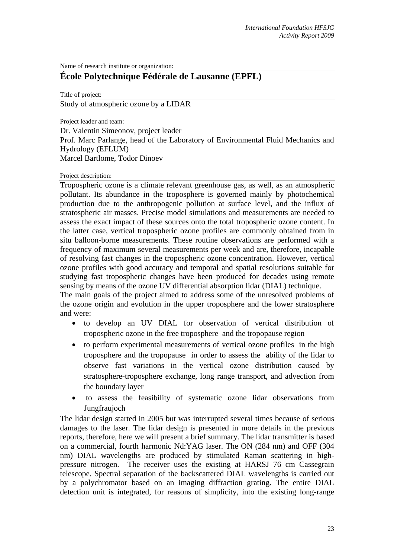Name of research institute or organization:

## **École Polytechnique Fédérale de Lausanne (EPFL)**

Title of project:

Study of atmospheric ozone by a LIDAR

Project leader and team:

Dr. Valentin Simeonov, project leader Prof. Marc Parlange, head of the Laboratory of Environmental Fluid Mechanics and Hydrology (EFLUM) Marcel Bartlome, Todor Dinoev

## Project description:

Tropospheric ozone is a climate relevant greenhouse gas, as well, as an atmospheric pollutant. Its abundance in the troposphere is governed mainly by photochemical production due to the anthropogenic pollution at surface level, and the influx of stratospheric air masses. Precise model simulations and measurements are needed to assess the exact impact of these sources onto the total tropospheric ozone content. In the latter case, vertical tropospheric ozone profiles are commonly obtained from in situ balloon-borne measurements. These routine observations are performed with a frequency of maximum several measurements per week and are, therefore, incapable of resolving fast changes in the tropospheric ozone concentration. However, vertical ozone profiles with good accuracy and temporal and spatial resolutions suitable for studying fast tropospheric changes have been produced for decades using remote sensing by means of the ozone UV differential absorption lidar (DIAL) technique. The main goals of the project aimed to address some of the unresolved problems of

the ozone origin and evolution in the upper troposphere and the lower stratosphere and were:

- to develop an UV DIAL for observation of vertical distribution of tropospheric ozone in the free troposphere and the tropopause region
- to perform experimental measurements of vertical ozone profiles in the high troposphere and the tropopause in order to assess the ability of the lidar to observe fast variations in the vertical ozone distribution caused by stratosphere-troposphere exchange, long range transport, and advection from the boundary layer
- to assess the feasibility of systematic ozone lidar observations from Jungfraujoch

The lidar design started in 2005 but was interrupted several times because of serious damages to the laser. The lidar design is presented in more details in the previous reports, therefore, here we will present a brief summary. The lidar transmitter is based on a commercial, fourth harmonic Nd:YAG laser. The ON (284 nm) and OFF (304 nm) DIAL wavelengths are produced by stimulated Raman scattering in highpressure nitrogen. The receiver uses the existing at HARSJ 76 cm Cassegrain telescope. Spectral separation of the backscattered DIAL wavelengths is carried out by a polychromator based on an imaging diffraction grating. The entire DIAL detection unit is integrated, for reasons of simplicity, into the existing long-range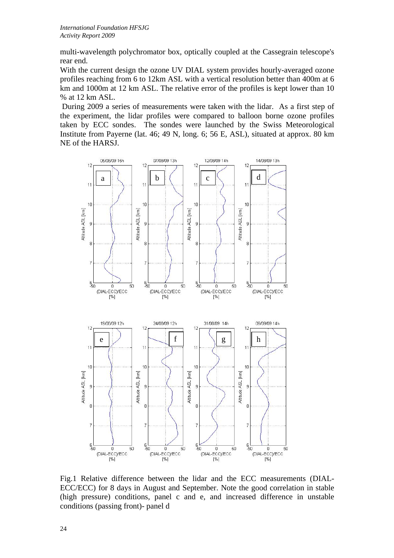multi-wavelength polychromator box, optically coupled at the Cassegrain telescope's rear end.

With the current design the ozone UV DIAL system provides hourly-averaged ozone profiles reaching from 6 to 12km ASL with a vertical resolution better than 400m at 6 km and 1000m at 12 km ASL. The relative error of the profiles is kept lower than 10 % at 12 km ASL.

 During 2009 a series of measurements were taken with the lidar. As a first step of the experiment, the lidar profiles were compared to balloon borne ozone profiles taken by ECC sondes. The sondes were launched by the Swiss Meteorological Institute from Payerne (lat. 46; 49 N, long. 6; 56 E, ASL), situated at approx. 80 km NE of the HARSJ.



Fig.1 Relative difference between the lidar and the ECC measurements (DIAL-ECC/ECC) for 8 days in August and September. Note the good correlation in stable (high pressure) conditions, panel c and e, and increased difference in unstable conditions (passing front)- panel d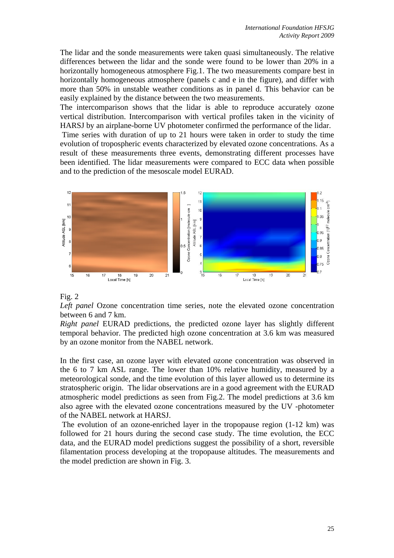The lidar and the sonde measurements were taken quasi simultaneously. The relative differences between the lidar and the sonde were found to be lower than 20% in a horizontally homogeneous atmosphere Fig.1. The two measurements compare best in horizontally homogeneous atmosphere (panels c and e in the figure), and differ with more than 50% in unstable weather conditions as in panel d. This behavior can be easily explained by the distance between the two measurements.

The intercomparison shows that the lidar is able to reproduce accurately ozone vertical distribution. Intercomparison with vertical profiles taken in the vicinity of HARSJ by an airplane-borne UV photometer confirmed the performance of the lidar.

 Time series with duration of up to 21 hours were taken in order to study the time evolution of tropospheric events characterized by elevated ozone concentrations. As a result of these measurements three events, demonstrating different processes have been identified. The lidar measurements were compared to ECC data when possible and to the prediction of the mesoscale model EURAD.



## Fig. 2

*Left panel* Ozone concentration time series, note the elevated ozone concentration between 6 and 7 km.

*Right panel* EURAD predictions, the predicted ozone layer has slightly different temporal behavior. The predicted high ozone concentration at 3.6 km was measured by an ozone monitor from the NABEL network.

In the first case, an ozone layer with elevated ozone concentration was observed in the 6 to 7 km ASL range. The lower than 10% relative humidity, measured by a meteorological sonde, and the time evolution of this layer allowed us to determine its stratospheric origin. The lidar observations are in a good agreement with the EURAD atmospheric model predictions as seen from Fig.2. The model predictions at 3.6 km also agree with the elevated ozone concentrations measured by the UV -photometer of the NABEL network at HARSJ.

 The evolution of an ozone-enriched layer in the tropopause region (1-12 km) was followed for 21 hours during the second case study. The time evolution, the ECC data, and the EURAD model predictions suggest the possibility of a short, reversible filamentation process developing at the tropopause altitudes. The measurements and the model prediction are shown in Fig. 3.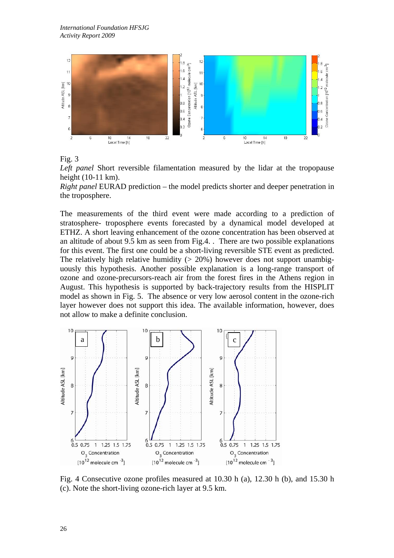

Fig. 3

*Left panel* Short reversible filamentation measured by the lidar at the tropopause height (10-11 km).

*Right panel* EURAD prediction – the model predicts shorter and deeper penetration in the troposphere.

The measurements of the third event were made according to a prediction of stratosphere- troposphere events forecasted by a dynamical model developed at ETHZ. A short leaving enhancement of the ozone concentration has been observed at an altitude of about 9.5 km as seen from Fig.4. . There are two possible explanations for this event. The first one could be a short-living reversible STE event as predicted. The relatively high relative humidity  $(> 20\%)$  however does not support unambiguously this hypothesis. Another possible explanation is a long-range transport of ozone and ozone-precursors-reach air from the forest fires in the Athens region in August. This hypothesis is supported by back-trajectory results from the HISPLIT model as shown in Fig. 5. The absence or very low aerosol content in the ozone-rich layer however does not support this idea. The available information, however, does not allow to make a definite conclusion.



Fig. 4 Consecutive ozone profiles measured at 10.30 h (a), 12.30 h (b), and 15.30 h (c). Note the short-living ozone-rich layer at 9.5 km.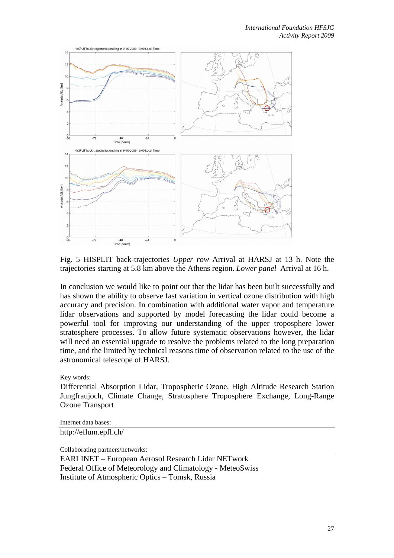

Fig. 5 HISPLIT back-trajectories *Upper row* Arrival at HARSJ at 13 h. Note the trajectories starting at 5.8 km above the Athens region. *Lower panel* Arrival at 16 h.

In conclusion we would like to point out that the lidar has been built successfully and has shown the ability to observe fast variation in vertical ozone distribution with high accuracy and precision. In combination with additional water vapor and temperature lidar observations and supported by model forecasting the lidar could become a powerful tool for improving our understanding of the upper troposphere lower stratosphere processes. To allow future systematic observations however, the lidar will need an essential upgrade to resolve the problems related to the long preparation time, and the limited by technical reasons time of observation related to the use of the astronomical telescope of HARSJ.

Key words:

Differential Absorption Lidar, Tropospheric Ozone, High Altitude Research Station Jungfraujoch, Climate Change, Stratosphere Troposphere Exchange, Long-Range Ozone Transport

Internet data bases: http://eflum.epfl.ch/

Collaborating partners/networks:

EARLINET – European Aerosol Research Lidar NETwork Federal Office of Meteorology and Climatology - MeteoSwiss Institute of Atmospheric Optics – Tomsk, Russia